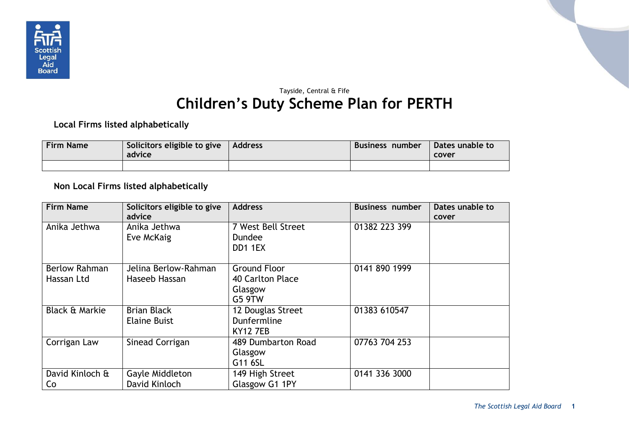

## Tayside, Central & Fife **Children's Duty Scheme Plan for PERTH**

**Local Firms listed alphabetically**

| <b>Firm Name</b> | Solicitors eligible to give<br>advice | Address | Business number | Dates unable to<br>cover |
|------------------|---------------------------------------|---------|-----------------|--------------------------|
|                  |                                       |         |                 |                          |

**Non Local Firms listed alphabetically**

| <b>Firm Name</b>                   | Solicitors eligible to give<br>advice     | <b>Address</b>                                                      | <b>Business number</b> | Dates unable to<br>cover |
|------------------------------------|-------------------------------------------|---------------------------------------------------------------------|------------------------|--------------------------|
| Anika Jethwa                       | Anika Jethwa<br>Eve McKaig                | 7 West Bell Street<br><b>Dundee</b><br>DD1 1EX                      | 01382 223 399          |                          |
| <b>Berlow Rahman</b><br>Hassan Ltd | Jelina Berlow-Rahman<br>Haseeb Hassan     | <b>Ground Floor</b><br>40 Carlton Place<br>Glasgow<br><b>G5 9TW</b> | 0141 890 1999          |                          |
| <b>Black &amp; Markie</b>          | <b>Brian Black</b><br><b>Elaine Buist</b> | 12 Douglas Street<br>Dunfermline<br><b>KY12 7EB</b>                 | 01383 610547           |                          |
| Corrigan Law                       | Sinead Corrigan                           | 489 Dumbarton Road<br>Glasgow<br>G11 6SL                            | 07763 704 253          |                          |
| David Kinloch &<br>Co              | Gayle Middleton<br>David Kinloch          | 149 High Street<br>Glasgow G1 1PY                                   | 0141 336 3000          |                          |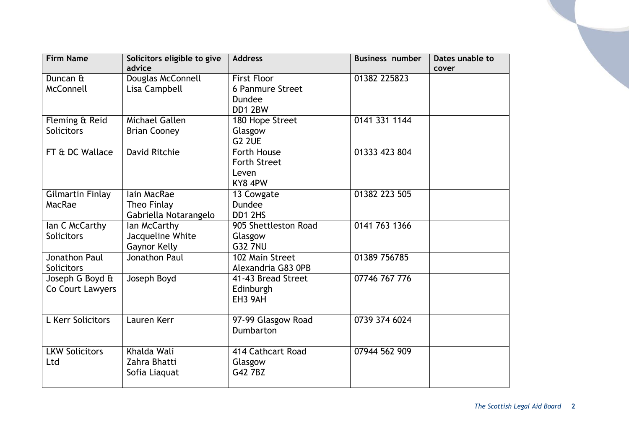| <b>Firm Name</b>      | Solicitors eligible to give | <b>Address</b>          | <b>Business number</b> | Dates unable to |
|-----------------------|-----------------------------|-------------------------|------------------------|-----------------|
|                       | advice                      |                         |                        | cover           |
| Duncan &              | Douglas McConnell           | <b>First Floor</b>      | 01382 225823           |                 |
| McConnell             | Lisa Campbell               | <b>6 Panmure Street</b> |                        |                 |
|                       |                             | Dundee                  |                        |                 |
|                       |                             | DD1 2BW                 |                        |                 |
| Fleming & Reid        | Michael Gallen              | 180 Hope Street         | 0141 331 1144          |                 |
| <b>Solicitors</b>     | <b>Brian Cooney</b>         | Glasgow                 |                        |                 |
|                       |                             | G <sub>2</sub> 2UE      |                        |                 |
| FT & DC Wallace       | <b>David Ritchie</b>        | Forth House             | 01333 423 804          |                 |
|                       |                             | <b>Forth Street</b>     |                        |                 |
|                       |                             | Leven                   |                        |                 |
|                       |                             | KY8 4PW                 |                        |                 |
| Gilmartin Finlay      | lain MacRae                 | 13 Cowgate              | 01382 223 505          |                 |
| MacRae                | Theo Finlay                 | Dundee                  |                        |                 |
|                       | Gabriella Notarangelo       | DD1 2HS                 |                        |                 |
| lan C McCarthy        | lan McCarthy                | 905 Shettleston Road    | 0141 763 1366          |                 |
| <b>Solicitors</b>     | Jacqueline White            | Glasgow                 |                        |                 |
|                       | Gaynor Kelly                | <b>G32 7NU</b>          |                        |                 |
| Jonathon Paul         | Jonathon Paul               | 102 Main Street         | 01389 756785           |                 |
| <b>Solicitors</b>     |                             | Alexandria G83 OPB      |                        |                 |
| Joseph G Boyd &       | Joseph Boyd                 | 41-43 Bread Street      | 07746 767 776          |                 |
| Co Court Lawyers      |                             | Edinburgh               |                        |                 |
|                       |                             | EH3 9AH                 |                        |                 |
|                       |                             |                         |                        |                 |
| L Kerr Solicitors     | Lauren Kerr                 | 97-99 Glasgow Road      | 0739 374 6024          |                 |
|                       |                             | Dumbarton               |                        |                 |
|                       |                             |                         |                        |                 |
| <b>LKW Solicitors</b> | Khalda Wali                 | 414 Cathcart Road       | 07944 562 909          |                 |
| Ltd                   | Zahra Bhatti                | Glasgow                 |                        |                 |
|                       | Sofia Liaquat               | G42 7BZ                 |                        |                 |
|                       |                             |                         |                        |                 |
|                       |                             |                         |                        |                 |